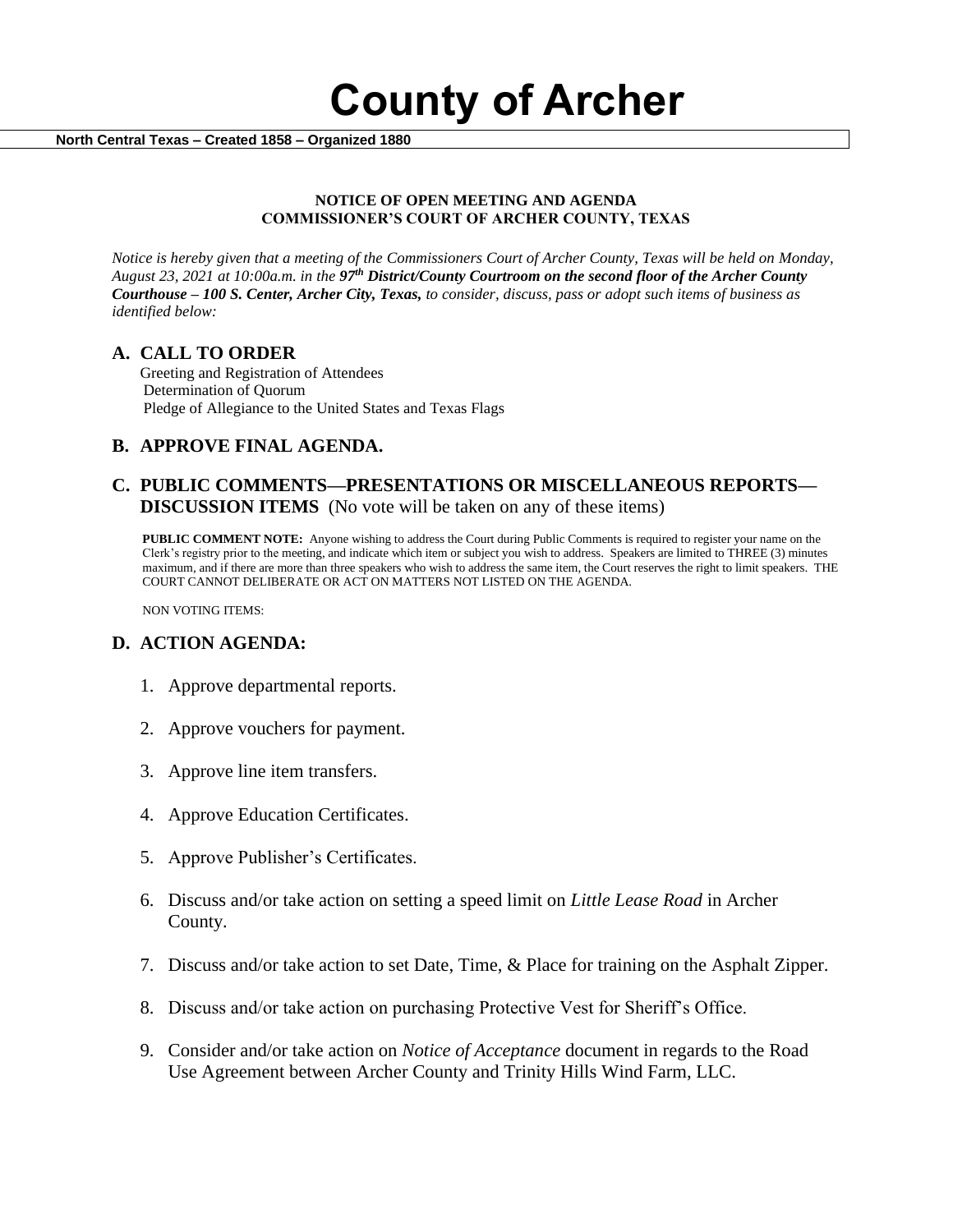**County of Archer** 

 **North Central Texas – Created 1858 – Organized 1880**

#### **NOTICE OF OPEN MEETING AND AGENDA COMMISSIONER'S COURT OF ARCHER COUNTY, TEXAS**

*Notice is hereby given that a meeting of the Commissioners Court of Archer County, Texas will be held on Monday, August 23, 2021 at 10:00a.m. in the 97th District/County Courtroom on the second floor of the Archer County Courthouse – 100 S. Center, Archer City, Texas, to consider, discuss, pass or adopt such items of business as identified below:*

### **A. CALL TO ORDER**

 Greeting and Registration of Attendees Determination of Quorum Pledge of Allegiance to the United States and Texas Flags

# **B. APPROVE FINAL AGENDA.**

## **C. PUBLIC COMMENTS—PRESENTATIONS OR MISCELLANEOUS REPORTS— DISCUSSION ITEMS** (No vote will be taken on any of these items)

**PUBLIC COMMENT NOTE:** Anyone wishing to address the Court during Public Comments is required to register your name on the Clerk's registry prior to the meeting, and indicate which item or subject you wish to address. Speakers are limited to THREE (3) minutes maximum, and if there are more than three speakers who wish to address the same item, the Court reserves the right to limit speakers. THE COURT CANNOT DELIBERATE OR ACT ON MATTERS NOT LISTED ON THE AGENDA.

NON VOTING ITEMS:

## **D. ACTION AGENDA:**

- 1. Approve departmental reports.
- 2. Approve vouchers for payment.
- 3. Approve line item transfers.
- 4. Approve Education Certificates.
- 5. Approve Publisher's Certificates.
- 6. Discuss and/or take action on setting a speed limit on *Little Lease Road* in Archer County*.*
- 7. Discuss and/or take action to set Date, Time, & Place for training on the Asphalt Zipper.
- 8. Discuss and/or take action on purchasing Protective Vest for Sheriff's Office.
- 9. Consider and/or take action on *Notice of Acceptance* document in regards to the Road Use Agreement between Archer County and Trinity Hills Wind Farm, LLC.